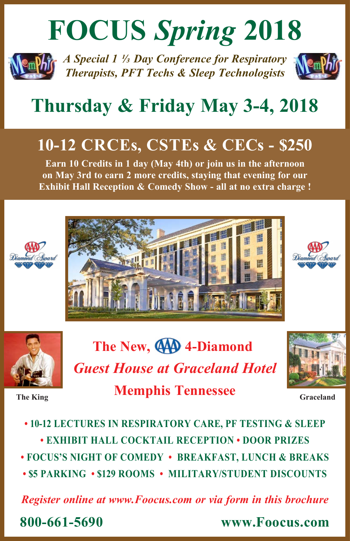# **FOCUS** *Spring* **2018**



*A Special 1 1/3 Day Conference for Respiratory Therapists, PFT Techs & Sleep Technologists*



# **Thursday & Friday May 3-4, 2018**

# **10-12 CRCEs, CSTEs & CECs - \$250**

**Earn 10 Credits in 1 day (May 4th) or join us in the afternoon on May 3rd to earn 2 more credits, staying that evening for our Exhibit Hall Reception & Comedy Show - all at no extra charge !**









The New, **440** 4-Diamond *Guest House at Graceland Hotel* **Memphis Tennessee The King Graceland Graceland Graceland Graceland** 



**• 10-12 LECTURES IN RESPIRATORY CARE, PF TESTING & SLEEP • EXHIBIT HALL COCKTAIL RECEPTION • DOOR PRIZES • FOCUS'S NIGHT OF COMEDY • BREAKFAST, LUNCH & BREAKS • \$5 PARKING • \$129 ROOMS • MILITARY/STUDENT DISCOUNTS**

*Register online at www.Foocus.com or via form in this brochure*

**800-661-5690 www.Foocus.com**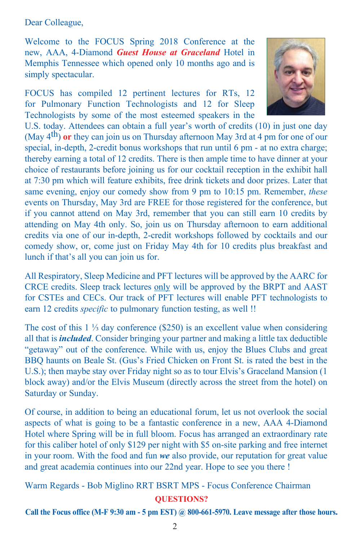Dear Colleague,

Welcome to the FOCUS Spring 2018 Conference at the new, AAA, 4-Diamond *Guest House at Graceland* Hotel in Memphis Tennessee which opened only 10 months ago and is simply spectacular.

FOCUS has compiled 12 pertinent lectures for RTs, 12 for Pulmonary Function Technologists and 12 for Sleep Technologists by some of the most esteemed speakers in the



U.S. today. Attendees can obtain a full year's worth of credits (10) in just one day (May 4th) **or** they can join us on Thursday afternoon May 3rd at 4 pm for one of our special, in-depth, 2-credit bonus workshops that run until 6 pm - at no extra charge; thereby earning a total of 12 credits. There is then ample time to have dinner at your choice of restaurants before joining us for our cocktail reception in the exhibit hall at 7:30 pm which will feature exhibits, free drink tickets and door prizes. Later that same evening, enjoy our comedy show from 9 pm to 10:15 pm. Remember, *these* events on Thursday, May 3rd are FREE for those registered for the conference, but if you cannot attend on May 3rd, remember that you can still earn 10 credits by attending on May 4th only. So, join us on Thursday afternoon to earn additional credits via one of our in-depth, 2-credit workshops followed by cocktails and our comedy show, or, come just on Friday May 4th for 10 credits plus breakfast and lunch if that's all you can join us for.

All Respiratory, Sleep Medicine and PFT lectures will be approved by the AARC for CRCE credits. Sleep track lectures only will be approved by the BRPT and AAST for CSTEs and CECs. Our track of PFT lectures will enable PFT technologists to earn 12 credits *specific* to pulmonary function testing, as well !!

The cost of this  $1\frac{1}{3}$  day conference (\$250) is an excellent value when considering all that is *included*. Consider bringing your partner and making a little tax deductible "getaway" out of the conference. While with us, enjoy the Blues Clubs and great BBQ haunts on Beale St. (Gus's Fried Chicken on Front St. is rated the best in the U.S.); then maybe stay over Friday night so as to tour Elvis's Graceland Mansion (1 block away) and/or the Elvis Museum (directly across the street from the hotel) on Saturday or Sunday.

Of course, in addition to being an educational forum, let us not overlook the social aspects of what is going to be a fantastic conference in a new, AAA 4-Diamond Hotel where Spring will be in full bloom. Focus has arranged an extraordinary rate for this caliber hotel of only \$129 per night with \$5 on-site parking and free internet in your room. With the food and fun *we* also provide, our reputation for great value and great academia continues into our 22nd year. Hope to see you there !

Warm Regards - Bob Miglino RRT BSRT MPS - Focus Conference Chairman **QUESTIONS?** 

**Call the Focus office (M-F 9:30 am - 5 pm EST) @ 800-661-5970. Leave message after those hours.**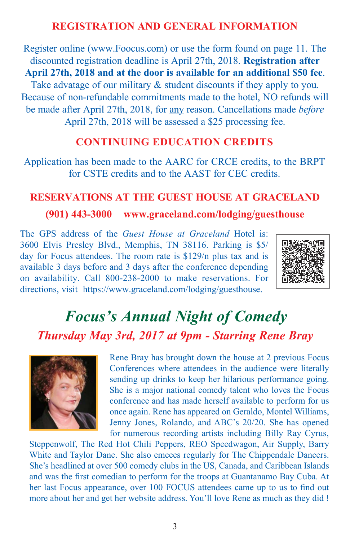# **REGISTRATION AND GENERAL INFORMATION**

Register online (www.Foocus.com) or use the form found on page 11. The discounted registration deadline is April 27th, 2018. **Registration after April 27th, 2018 and at the door is available for an additional \$50 fee**. Take advatage of our military & student discounts if they apply to you. Because of non-refundable commitments made to the hotel, NO refunds will be made after April 27th, 2018, for any reason. Cancellations made *before* April 27th, 2018 will be assessed a \$25 processing fee.

### **CONTINUING EDUCATION CREDITS**

Application has been made to the AARC for CRCE credits, to the BRPT for CSTE credits and to the AAST for CEC credits.

#### **RESERVATIONS AT THE GUEST HOUSE AT GRACELAND**

### **(901) 443-3000 www.graceland.com/lodging/guesthouse**

The GPS address of the *Guest House at Graceland* Hotel is: 3600 Elvis Presley Blvd., Memphis, TN 38116. Parking is \$5/ day for Focus attendees. The room rate is \$129/n plus tax and is available 3 days before and 3 days after the conference depending on availability. Call 800-238-2000 to make reservations. For directions, visit https://www.graceland.com/lodging/guesthouse.



# *Focus's Annual Night of Comedy Thursday May 3rd, 2017 at 9pm - Starring Rene Bray*



Rene Bray has brought down the house at 2 previous Focus Conferences where attendees in the audience were literally sending up drinks to keep her hilarious performance going. She is a major national comedy talent who loves the Focus conference and has made herself available to perform for us once again. Rene has appeared on Geraldo, Montel Williams, Jenny Jones, Rolando, and ABC's 20/20. She has opened for numerous recording artists including Billy Ray Cyrus,

Steppenwolf, The Red Hot Chili Peppers, REO Speedwagon, Air Supply, Barry White and Taylor Dane. She also emcees regularly for The Chippendale Dancers. She's headlined at over 500 comedy clubs in the US, Canada, and Caribbean Islands and was the first comedian to perform for the troops at Guantanamo Bay Cuba. At her last Focus appearance, over 100 FOCUS attendees came up to us to find out more about her and get her website address. You'll love Rene as much as they did !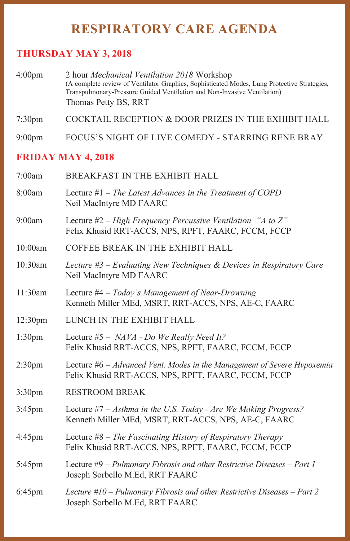# **RESPIRATORY CARE AGENDA**

# **THURSDAY MAY 3, 2018**

| 4:00 <sub>pm</sub> | 2 hour <i>Mechanical Ventilation 2018</i> Workshop                                          |
|--------------------|---------------------------------------------------------------------------------------------|
|                    | (A complete review of Ventilator Graphics, Sophisticated Modes, Lung Protective Strategies, |
|                    | Transpulmonary-Pressure Guided Ventilation and Non-Invasive Ventilation)                    |
|                    | Thomas Petty BS, RRT                                                                        |
|                    |                                                                                             |

7:30pm COCKTAIL RECEPTION & DOOR PRIZES IN THE EXHIBIT HALL

9:00pm FOCUS'S NIGHT OF LIVE COMEDY - STARRING RENE BRAY

# **FRIDAY MAY 4, 2018**

| 7:00am              | BREAKFAST IN THE EXHIBIT HALL                                                                                                  |  |  |  |
|---------------------|--------------------------------------------------------------------------------------------------------------------------------|--|--|--|
| 8:00am              | Lecture $#1$ – The Latest Advances in the Treatment of COPD<br>Neil MacIntyre MD FAARC                                         |  |  |  |
| 9:00am              | Lecture $#2$ – High Frequency Percussive Ventilation "A to Z"<br>Felix Khusid RRT-ACCS, NPS, RPFT, FAARC, FCCM, FCCP           |  |  |  |
| 10:00am             | COFFEE BREAK IN THE EXHIBIT HALL                                                                                               |  |  |  |
| 10:30am             | Lecture $\#3$ – Evaluating New Techniques & Devices in Respiratory Care<br>Neil MacIntyre MD FAARC                             |  |  |  |
| 11:30am             | Lecture $#4 - Today's Management of Near-Drowing$<br>Kenneth Miller MEd, MSRT, RRT-ACCS, NPS, AE-C, FAARC                      |  |  |  |
| 12:30 <sub>pm</sub> | LUNCH IN THE EXHIBIT HALL                                                                                                      |  |  |  |
| 1:30 <sub>pm</sub>  | Lecture #5 - $NAVA$ - Do We Really Need It?<br>Felix Khusid RRT-ACCS, NPS, RPFT, FAARC, FCCM, FCCP                             |  |  |  |
| 2:30 <sub>pm</sub>  | Lecture #6 - Advanced Vent. Modes in the Management of Severe Hypoxemia<br>Felix Khusid RRT-ACCS, NPS, RPFT, FAARC, FCCM, FCCP |  |  |  |
| 3:30 <sub>pm</sub>  | <b>RESTROOM BREAK</b>                                                                                                          |  |  |  |
| 3:45pm              | Lecture $#7 - Asthma$ in the U.S. Today - Are We Making Progress?<br>Kenneth Miller MEd, MSRT, RRT-ACCS, NPS, AE-C, FAARC      |  |  |  |
| $4:45$ pm           | Lecture $#8$ – The Fascinating History of Respiratory Therapy<br>Felix Khusid RRT-ACCS, NPS, RPFT, FAARC, FCCM, FCCP           |  |  |  |
| 5:45pm              | Lecture $#9$ – Pulmonary Fibrosis and other Restrictive Diseases – Part 1<br>Joseph Sorbello M.Ed, RRT FAARC                   |  |  |  |
| $6:45$ pm           | Lecture $#10$ – Pulmonary Fibrosis and other Restrictive Diseases – Part 2<br>Joseph Sorbello M.Ed, RRT FAARC                  |  |  |  |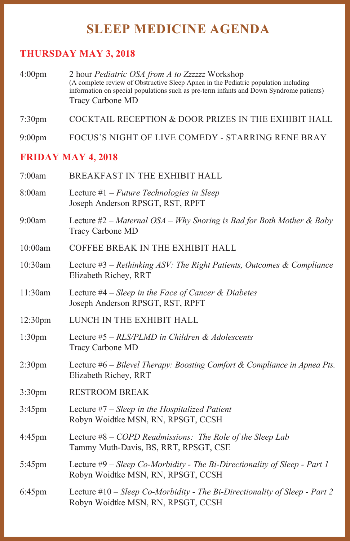# **SLEEP MEDICINE AGENDA**

# **THURSDAY MAY 3, 2018**

4:00pm 2 hour *Pediatric OSA from A to Zzzzzz* Workshop (A complete review of Obstructive Sleep Apnea in the Pediatric population including information on special populations such as pre-term infants and Down Syndrome patients) Tracy Carbone MD

7:30pm COCKTAIL RECEPTION & DOOR PRIZES IN THE EXHIBIT HALL

9:00pm FOCUS'S NIGHT OF LIVE COMEDY - STARRING RENE BRAY

#### **FRIDAY MAY 4, 2018**

| 7:00am              | BREAKFAST IN THE EXHIBIT HALL                                                                                      |  |  |
|---------------------|--------------------------------------------------------------------------------------------------------------------|--|--|
| 8:00am              | Lecture $#1$ – Future Technologies in Sleep<br>Joseph Anderson RPSGT, RST, RPFT                                    |  |  |
| 9:00am              | Lecture $#2$ – Maternal OSA – Why Snoring is Bad for Both Mother & Baby<br>Tracy Carbone MD                        |  |  |
| 10:00am             | COFFEE BREAK IN THE EXHIBIT HALL                                                                                   |  |  |
| 10:30am             | Lecture $#3$ – Rethinking ASV: The Right Patients, Outcomes & Compliance<br>Elizabeth Richey, RRT                  |  |  |
| 11:30am             | Lecture #4 - Sleep in the Face of Cancer & Diabetes<br>Joseph Anderson RPSGT, RST, RPFT                            |  |  |
| 12:30 <sub>pm</sub> | LUNCH IN THE EXHIBIT HALL                                                                                          |  |  |
| 1:30 <sub>pm</sub>  | Lecture $#5 - RLS/PLMD$ in Children & Adolescents<br>Tracy Carbone MD                                              |  |  |
| 2:30 <sub>pm</sub>  | Lecture $#6$ – Bilevel Therapy: Boosting Comfort & Compliance in Apnea Pts.<br>Elizabeth Richey, RRT               |  |  |
| 3:30 <sub>pm</sub>  | <b>RESTROOM BREAK</b>                                                                                              |  |  |
| $3:45$ pm           | Lecture $#7 - Sleep$ in the Hospitalized Patient<br>Robyn Woidtke MSN, RN, RPSGT, CCSH                             |  |  |
| $4:45$ pm           | Lecture $#8 - COPD$ Readmissions: The Role of the Sleep Lab<br>Tammy Muth-Davis, BS, RRT, RPSGT, CSE               |  |  |
| 5:45pm              | Lecture #9 - Sleep Co-Morbidity - The Bi-Directionality of Sleep - Part 1<br>Robyn Woidtke MSN, RN, RPSGT, CCSH    |  |  |
| $6:45$ pm           | Lecture $#10 - Sleep Co-Morbidity - The Bi-Directionality of Sleep - Part 2$<br>Robyn Woidtke MSN, RN, RPSGT, CCSH |  |  |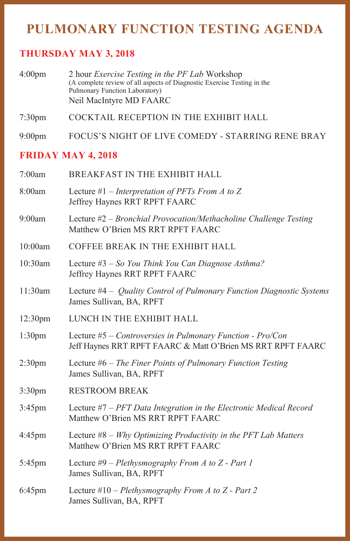# **PULMONARY FUNCTION TESTING AGENDA**

#### **THURSDAY MAY 3, 2018**

| 4:00 <sub>pm</sub> | 2 hour <i>Exercise Testing in the PF Lab</i> Workshop                   |
|--------------------|-------------------------------------------------------------------------|
|                    | (A complete review of all aspects of Diagnostic Exercise Testing in the |
|                    | Pulmonary Function Laboratory)                                          |
|                    | Neil MacIntyre MD FAARC                                                 |

7:30pm COCKTAIL RECEPTION IN THE EXHIBIT HALL

9:00pm FOCUS'S NIGHT OF LIVE COMEDY - STARRING RENE BRAY

#### **FRIDAY MAY 4, 2018**

| 7:00am              | BREAKFAST IN THE EXHIBIT HALL                                                                                               |  |  |  |
|---------------------|-----------------------------------------------------------------------------------------------------------------------------|--|--|--|
| 8:00am              | Lecture #1 – Interpretation of PFTs From A to Z<br>Jeffrey Haynes RRT RPFT FAARC                                            |  |  |  |
| 9:00am              | Lecture $#2$ – Bronchial Provocation/Methacholine Challenge Testing<br>Matthew O'Brien MS RRT RPFT FAARC                    |  |  |  |
| 10:00am             | COFFEE BREAK IN THE EXHIBIT HALL                                                                                            |  |  |  |
| 10:30am             | Lecture #3 - So You Think You Can Diagnose Asthma?<br>Jeffrey Haynes RRT RPFT FAARC                                         |  |  |  |
| 11:30am             | Lecture #4 – Quality Control of Pulmonary Function Diagnostic Systems<br>James Sullivan, BA, RPFT                           |  |  |  |
| 12:30 <sub>pm</sub> | LUNCH IN THE EXHIBIT HALL                                                                                                   |  |  |  |
| 1:30 <sub>pm</sub>  | Lecture $#5$ – Controversies in Pulmonary Function - Pro/Con<br>Jeff Haynes RRT RPFT FAARC & Matt O'Brien MS RRT RPFT FAARC |  |  |  |
| 2:30 <sub>pm</sub>  | Lecture $#6$ – The Finer Points of Pulmonary Function Testing<br>James Sullivan, BA, RPFT                                   |  |  |  |
| 3:30 <sub>pm</sub>  | <b>RESTROOM BREAK</b>                                                                                                       |  |  |  |
| 3:45pm              | Lecture #7 - PFT Data Integration in the Electronic Medical Record<br>Matthew O'Brien MS RRT RPFT FAARC                     |  |  |  |
| $4:45$ pm           | Lecture $#8 - Why Optimizing Productivity in the PFT Lab Matters$<br>Matthew O'Brien MS RRT RPFT FAARC                      |  |  |  |
| 5:45pm              | Lecture $#9$ – Plethysmography From A to Z - Part 1<br>James Sullivan, BA, RPFT                                             |  |  |  |
| $6:45$ pm           | Lecture $#10$ – Plethysmography From A to Z - Part 2<br>James Sullivan, BA, RPFT                                            |  |  |  |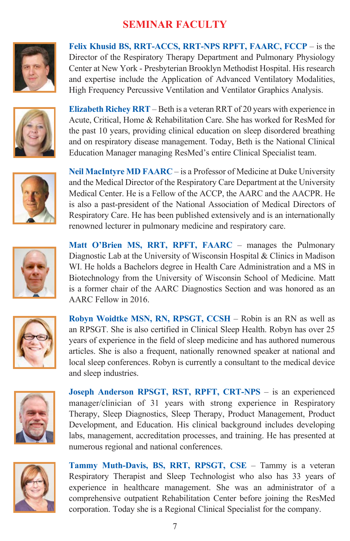# **SEMINAR FACULTY**



**Felix Khusid BS, RRT-ACCS, RRT-NPS RPFT, FAARC, FCCP** – is the Director of the Respiratory Therapy Department and Pulmonary Physiology Center at New York - Presbyterian Brooklyn Methodist Hospital. His research and expertise include the Application of Advanced Ventilatory Modalities, High Frequency Percussive Ventilation and Ventilator Graphics Analysis.



**Elizabeth Richey RRT** – Beth is a veteran RRT of 20 years with experience in Acute, Critical, Home & Rehabilitation Care. She has worked for ResMed for the past 10 years, providing clinical education on sleep disordered breathing and on respiratory disease management. Today, Beth is the National Clinical Education Manager managing ResMed's entire Clinical Specialist team.



**Neil MacIntyre MD FAARC** – is a Professor of Medicine at Duke University and the Medical Director of the Respiratory Care Department at the University Medical Center. He is a Fellow of the ACCP, the AARC and the AACPR. He is also a past-president of the National Association of Medical Directors of Respiratory Care. He has been published extensively and is an internationally renowned lecturer in pulmonary medicine and respiratory care.



Matt O'Brien MS, RRT, RPFT, FAARC - manages the Pulmonary Diagnostic Lab at the University of Wisconsin Hospital & Clinics in Madison WI. He holds a Bachelors degree in Health Care Administration and a MS in Biotechnology from the University of Wisconsin School of Medicine. Matt is a former chair of the AARC Diagnostics Section and was honored as an AARC Fellow in 2016.



**Robyn Woidtke MSN, RN, RPSGT, CCSH** – Robin is an RN as well as an RPSGT. She is also certified in Clinical Sleep Health. Robyn has over 25 years of experience in the field of sleep medicine and has authored numerous articles. She is also a frequent, nationally renowned speaker at national and local sleep conferences. Robyn is currently a consultant to the medical device and sleep industries.



**Joseph Anderson RPSGT, RST, RPFT, CRT-NPS** – is an experienced manager/clinician of 31 years with strong experience in Respiratory Therapy, Sleep Diagnostics, Sleep Therapy, Product Management, Product Development, and Education. His clinical background includes developing labs, management, accreditation processes, and training. He has presented at numerous regional and national conferences.



**Tammy Muth-Davis, BS, RRT, RPSGT, CSE** – Tammy is a veteran Respiratory Therapist and Sleep Technologist who also has 33 years of experience in healthcare management. She was an administrator of a comprehensive outpatient Rehabilitation Center before joining the ResMed corporation. Today she is a Regional Clinical Specialist for the company.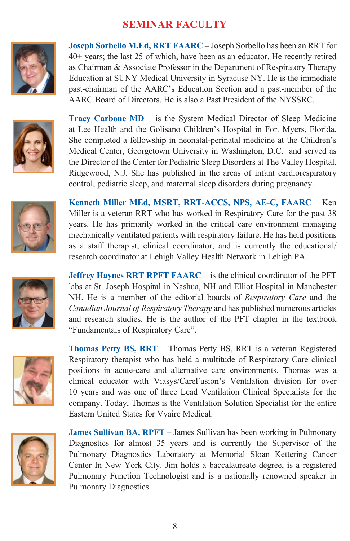# **SEMINAR FACULTY**



**Joseph Sorbello M.Ed, RRT FAARC** – Joseph Sorbello has been an RRT for 40+ years; the last 25 of which, have been as an educator. He recently retired as Chairman & Associate Professor in the Department of Respiratory Therapy Education at SUNY Medical University in Syracuse NY. He is the immediate past-chairman of the AARC's Education Section and a past-member of the AARC Board of Directors. He is also a Past President of the NYSSRC.



**Tracy Carbone MD** – is the System Medical Director of Sleep Medicine at Lee Health and the Golisano Children's Hospital in Fort Myers, Florida. She completed a fellowship in neonatal-perinatal medicine at the Children's Medical Center, Georgetown University in Washington, D.C. and served as the Director of the Center for Pediatric Sleep Disorders at The Valley Hospital, Ridgewood, N.J. She has published in the areas of infant cardiorespiratory control, pediatric sleep, and maternal sleep disorders during pregnancy.



**Kenneth Miller MEd, MSRT, RRT-ACCS, NPS, AE-C, FAARC** – Ken Miller is a veteran RRT who has worked in Respiratory Care for the past 38 years. He has primarily worked in the critical care environment managing mechanically ventilated patients with respiratory failure. He has held positions as a staff therapist, clinical coordinator, and is currently the educational/ research coordinator at Lehigh Valley Health Network in Lehigh PA.



**Jeffrey Haynes RRT RPFT FAARC** – is the clinical coordinator of the PFT labs at St. Joseph Hospital in Nashua, NH and Elliot Hospital in Manchester NH. He is a member of the editorial boards of *Respiratory Care* and the *Canadian Journal of Respiratory Therapy* and has published numerous articles and research studies. He is the author of the PFT chapter in the textbook "Fundamentals of Respiratory Care".



**Thomas Petty BS, RRT** – Thomas Petty BS, RRT is a veteran Registered Respiratory therapist who has held a multitude of Respiratory Care clinical positions in acute-care and alternative care environments. Thomas was a clinical educator with Viasys/CareFusion's Ventilation division for over 10 years and was one of three Lead Ventilation Clinical Specialists for the company. Today, Thomas is the Ventilation Solution Specialist for the entire Eastern United States for Vyaire Medical.



**James Sullivan BA, RPFT** – James Sullivan has been working in Pulmonary Diagnostics for almost 35 years and is currently the Supervisor of the Pulmonary Diagnostics Laboratory at Memorial Sloan Kettering Cancer Center In New York City. Jim holds a baccalaureate degree, is a registered Pulmonary Function Technologist and is a nationally renowned speaker in Pulmonary Diagnostics.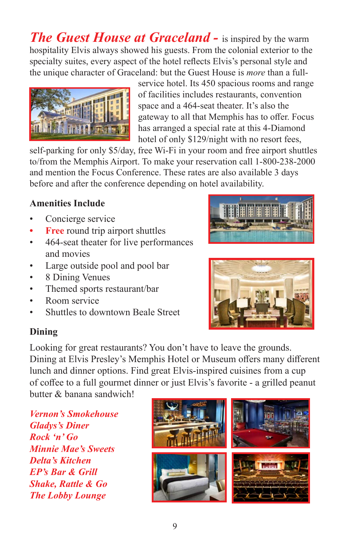*The Guest House at Graceland - is inspired by the warm* hospitality Elvis always showed his guests. From the colonial exterior to the specialty suites, every aspect of the hotel reflects Elvis's personal style and the unique character of Graceland: but the Guest House is *more* than a full-



service hotel. Its 450 spacious rooms and range of facilities includes restaurants, convention space and a 464-seat theater. It's also the gateway to all that Memphis has to offer. Focus has arranged a special rate at this 4-Diamond hotel of only \$129/night with no resort fees,

self-parking for only \$5/day, free Wi-Fi in your room and free airport shuttles to/from the Memphis Airport. To make your reservation call 1-800-238-2000 and mention the Focus Conference. These rates are also available 3 days before and after the conference depending on hotel availability.

# **Amenities Include**

- Concierge service
- **• Free** round trip airport shuttles
- 464-seat theater for live performances and movies
- Large outside pool and pool bar
- 8 Dining Venues
- Themed sports restaurant/bar
- Room service
- Shuttles to downtown Beale Street





Looking for great restaurants? You don't have to leave the grounds. Dining at Elvis Presley's Memphis Hotel or Museum offers many different lunch and dinner options. Find great Elvis-inspired cuisines from a cup of coffee to a full gourmet dinner or just Elvis's favorite - a grilled peanut butter & banana sandwich!

*Vernon's Smokehouse Gladys's Diner Rock 'n' Go Minnie Mae's Sweets Delta's Kitchen EP's Bar & Grill Shake, Rattle & Go The Lobby Lounge* 

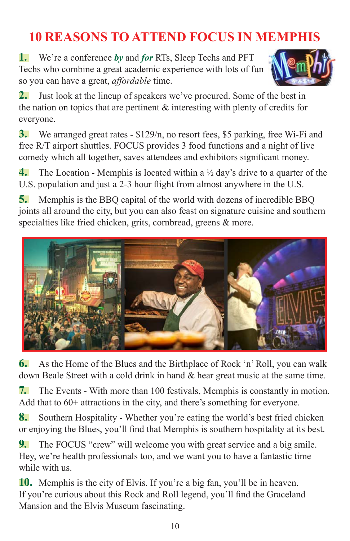# **10 REASONS TO ATTEND FOCUS IN MEMPHIS**

**1.** We're a conference *by* and *for* RTs, Sleep Techs and PFT Techs who combine a great academic experience with lots of fun so you can have a great, *affordable* time.



**2.** Just look at the lineup of speakers we've procured. Some of the best in the nation on topics that are pertinent & interesting with plenty of credits for everyone.

**3.** We arranged great rates - \$129/n, no resort fees, \$5 parking, free Wi-Fi and free R/T airport shuttles. FOCUS provides 3 food functions and a night of live comedy which all together, saves attendees and exhibitors significant money.

**4.** The Location - Memphis is located within a <sup>1</sup>/<sub>2</sub> day's drive to a quarter of the U.S. population and just a 2-3 hour flight from almost anywhere in the U.S.

**5.** Memphis is the BBQ capital of the world with dozens of incredible BBQ joints all around the city, but you can also feast on signature cuisine and southern specialties like fried chicken, grits, cornbread, greens & more.



**6.** As the Home of the Blues and the Birthplace of Rock 'n' Roll, you can walk down Beale Street with a cold drink in hand & hear great music at the same time.

**7.** The Events - With more than 100 festivals, Memphis is constantly in motion. Add that to 60+ attractions in the city, and there's something for everyone.

**8.** Southern Hospitality - Whether you're eating the world's best fried chicken or enjoying the Blues, you'll find that Memphis is southern hospitality at its best.

**9.** The FOCUS "crew" will welcome you with great service and a big smile. Hey, we're health professionals too, and we want you to have a fantastic time while with us.

**10.** Memphis is the city of Elvis. If you're a big fan, you'll be in heaven. If you're curious about this Rock and Roll legend, you'll find the Graceland Mansion and the Elvis Museum fascinating.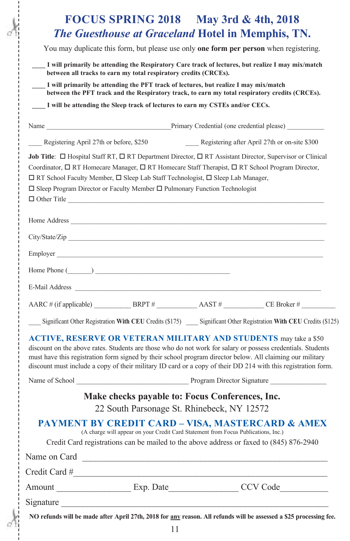|                                                                                        | <b>FOCUS SPRING 2018</b> May 3rd & 4th, 2018                                                                                                                                                                                                                                                                                                                                                                                            |  |                                                                                                                                                                                                                              |  |  |  |
|----------------------------------------------------------------------------------------|-----------------------------------------------------------------------------------------------------------------------------------------------------------------------------------------------------------------------------------------------------------------------------------------------------------------------------------------------------------------------------------------------------------------------------------------|--|------------------------------------------------------------------------------------------------------------------------------------------------------------------------------------------------------------------------------|--|--|--|
|                                                                                        | <b>The Guesthouse at Graceland Hotel in Memphis, TN.</b>                                                                                                                                                                                                                                                                                                                                                                                |  |                                                                                                                                                                                                                              |  |  |  |
| You may duplicate this form, but please use only one form per person when registering. |                                                                                                                                                                                                                                                                                                                                                                                                                                         |  |                                                                                                                                                                                                                              |  |  |  |
|                                                                                        | I will primarily be attending the Respiratory Care track of lectures, but realize I may mix/match<br>between all tracks to earn my total respiratory credits (CRCEs).                                                                                                                                                                                                                                                                   |  |                                                                                                                                                                                                                              |  |  |  |
|                                                                                        | I will primarily be attending the PFT track of lectures, but realize I may mix/match<br>between the PFT track and the Respiratory track, to earn my total respiratory credits (CRCEs).                                                                                                                                                                                                                                                  |  |                                                                                                                                                                                                                              |  |  |  |
|                                                                                        | I will be attending the Sleep track of lectures to earn my CSTEs and/or CECs.                                                                                                                                                                                                                                                                                                                                                           |  |                                                                                                                                                                                                                              |  |  |  |
|                                                                                        |                                                                                                                                                                                                                                                                                                                                                                                                                                         |  |                                                                                                                                                                                                                              |  |  |  |
| Registering April 27th or before, \$250                                                |                                                                                                                                                                                                                                                                                                                                                                                                                                         |  | Registering after April 27th or on-site \$300                                                                                                                                                                                |  |  |  |
|                                                                                        | <b>Job Title:</b> $\Box$ Hospital Staff RT, $\Box$ RT Department Director, $\Box$ RT Assistant Director, Supervisor or Clinical<br>Coordinator, □ RT Homecare Manager, □ RT Homecare Staff Therapist, □ RT School Program Director,<br>□ RT School Faculty Member, □ Sleep Lab Staff Technologist, □ Sleep Lab Manager,<br>$\Box$ Sleep Program Director or Faculty Member $\Box$ Pulmonary Function Technologist<br>$\Box$ Other Title |  |                                                                                                                                                                                                                              |  |  |  |
|                                                                                        | Home Address The Second Second Second Second Second Second Second Second Second Second Second Second Second Second Second Second Second Second Second Second Second Second Second Second Second Second Second Second Second Se                                                                                                                                                                                                          |  |                                                                                                                                                                                                                              |  |  |  |
|                                                                                        |                                                                                                                                                                                                                                                                                                                                                                                                                                         |  |                                                                                                                                                                                                                              |  |  |  |
|                                                                                        | Employer                                                                                                                                                                                                                                                                                                                                                                                                                                |  |                                                                                                                                                                                                                              |  |  |  |
|                                                                                        | Home Phone $(\_\_\_\_\_$                                                                                                                                                                                                                                                                                                                                                                                                                |  |                                                                                                                                                                                                                              |  |  |  |
|                                                                                        | E-Mail Address <b>E-Mail</b>                                                                                                                                                                                                                                                                                                                                                                                                            |  |                                                                                                                                                                                                                              |  |  |  |
|                                                                                        |                                                                                                                                                                                                                                                                                                                                                                                                                                         |  |                                                                                                                                                                                                                              |  |  |  |
|                                                                                        |                                                                                                                                                                                                                                                                                                                                                                                                                                         |  | Significant Other Registration With CEU Credits (\$175) Significant Other Registration With CEU Credits (\$125)                                                                                                              |  |  |  |
|                                                                                        | <b>ACTIVE, RESERVE OR VETERAN MILITARY AND STUDENTS</b> may take a \$50<br>must have this registration form signed by their school program director below. All claiming our military<br>Name of School Program Director Signature                                                                                                                                                                                                       |  | discount on the above rates. Students are those who do not work for salary or possess credentials. Students<br>discount must include a copy of their military ID card or a copy of their DD 214 with this registration form. |  |  |  |
|                                                                                        | Make checks payable to: Focus Conferences, Inc.                                                                                                                                                                                                                                                                                                                                                                                         |  |                                                                                                                                                                                                                              |  |  |  |
|                                                                                        | 22 South Parsonage St. Rhinebeck, NY 12572                                                                                                                                                                                                                                                                                                                                                                                              |  |                                                                                                                                                                                                                              |  |  |  |
|                                                                                        | <b>PAYMENT BY CREDIT CARD - VISA, MASTERCARD &amp; AMEX</b><br>(A charge will appear on your Credit Card Statement from Focus Publications, Inc.)<br>Credit Card registrations can be mailed to the above address or faxed to (845) 876-2940                                                                                                                                                                                            |  |                                                                                                                                                                                                                              |  |  |  |
|                                                                                        |                                                                                                                                                                                                                                                                                                                                                                                                                                         |  |                                                                                                                                                                                                                              |  |  |  |
|                                                                                        | Credit Card #                                                                                                                                                                                                                                                                                                                                                                                                                           |  |                                                                                                                                                                                                                              |  |  |  |
|                                                                                        | Amount Exp. Date CCV Code                                                                                                                                                                                                                                                                                                                                                                                                               |  |                                                                                                                                                                                                                              |  |  |  |
|                                                                                        | Signature                                                                                                                                                                                                                                                                                                                                                                                                                               |  |                                                                                                                                                                                                                              |  |  |  |
|                                                                                        |                                                                                                                                                                                                                                                                                                                                                                                                                                         |  | NO refunds will be made after April 27th, 2018 for any reason. All refunds will be assessed a \$25 processing fee.                                                                                                           |  |  |  |

11

į